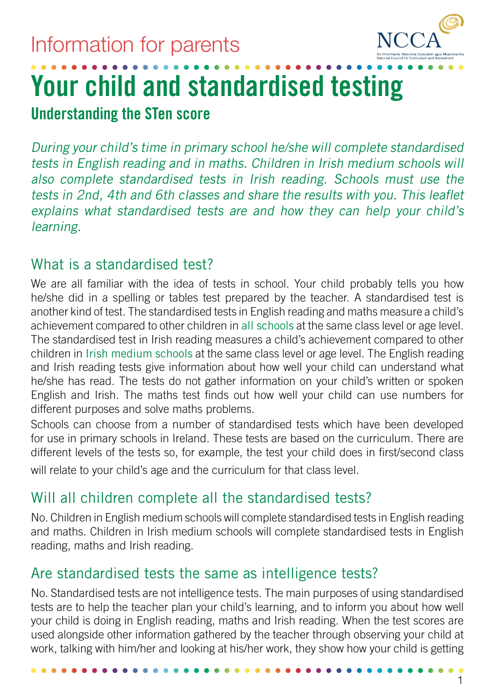

# **Your child and standardised testing**

**Understanding the STen score**

During your child's time in primary school he/she will complete standardised tests in English reading and in maths. Children in Irish medium schools will also complete standardised tests in Irish reading. Schools must use the tests in 2nd, 4th and 6th classes and share the results with you. This leaflet explains what standardised tests are and how they can help your child's learning.

#### What is a standardised test?

We are all familiar with the idea of tests in school. Your child probably tells you how he/she did in a spelling or tables test prepared by the teacher. A standardised test is another kind of test. The standardised tests in English reading and maths measure a child's achievement compared to other children in all schools at the same class level or age level. The standardised test in Irish reading measures a child's achievement compared to other children in Irish medium schools at the same class level or age level. The English reading and Irish reading tests give information about how well your child can understand what he/she has read. The tests do not gather information on your child's written or spoken English and Irish. The maths test finds out how well your child can use numbers for different purposes and solve maths problems.

Schools can choose from a number of standardised tests which have been developed for use in primary schools in Ireland. These tests are based on the curriculum. There are different levels of the tests so, for example, the test your child does in first/second class will relate to your child's age and the curriculum for that class level.

# Will all children complete all the standardised tests?

No. Children in English medium schools will complete standardised tests in English reading and maths. Children in Irish medium schools will complete standardised tests in English reading, maths and Irish reading.

# Are standardised tests the same as intelligence tests?

No. Standardised tests are not intelligence tests. The main purposes of using standardised tests are to help the teacher plan your child's learning, and to inform you about how well your child is doing in English reading, maths and Irish reading. When the test scores are used alongside other information gathered by the teacher through observing your child at work, talking with him/her and looking at his/her work, they show how your child is getting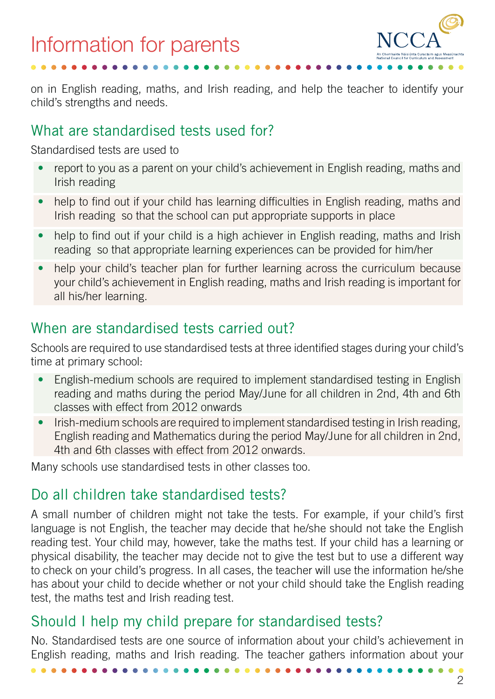

on in English reading, maths, and Irish reading, and help the teacher to identify your child's strengths and needs.

## What are standardised tests used for?

Standardised tests are used to

- report to you as a parent on your child's achievement in English reading, maths and Irish reading
- help to find out if your child has learning difficulties in English reading, maths and Irish reading so that the school can put appropriate supports in place
- help to find out if your child is a high achiever in English reading, maths and Irish reading so that appropriate learning experiences can be provided for him/her
- help your child's teacher plan for further learning across the curriculum because your child's achievement in English reading, maths and Irish reading is important for all his/her learning.

# When are standardised tests carried out?

Schools are required to use standardised tests at three identified stages during your child's time at primary school:

- English-medium schools are required to implement standardised testing in English reading and maths during the period May/June for all children in 2nd, 4th and 6th classes with effect from 2012 onwards
- Irish-medium schools are required to implement standardised testing in Irish reading, English reading and Mathematics during the period May/June for all children in 2nd, 4th and 6th classes with effect from 2012 onwards.

Many schools use standardised tests in other classes too.

# Do all children take standardised tests?

A small number of children might not take the tests. For example, if your child's first language is not English, the teacher may decide that he/she should not take the English reading test. Your child may, however, take the maths test. If your child has a learning or physical disability, the teacher may decide not to give the test but to use a different way to check on your child's progress. In all cases, the teacher will use the information he/she has about your child to decide whether or not your child should take the English reading test, the maths test and Irish reading test.

## Should I help my child prepare for standardised tests?

No. Standardised tests are one source of information about your child's achievement in English reading, maths and Irish reading. The teacher gathers information about your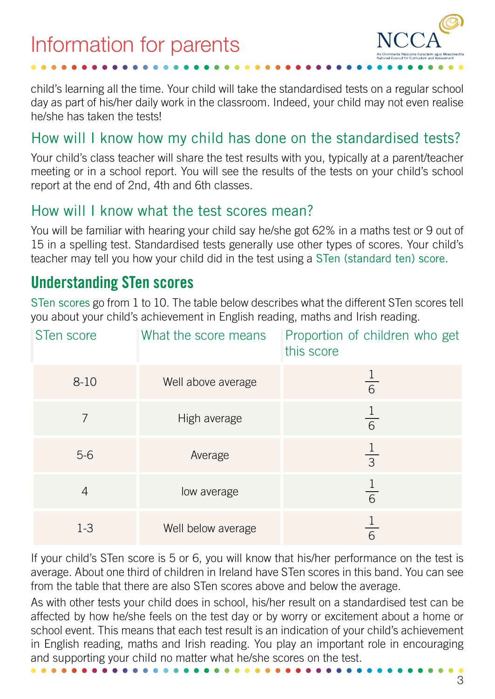

child's learning all the time. Your child will take the standardised tests on a regular school day as part of his/her daily work in the classroom. Indeed, your child may not even realise he/she has taken the tests!

#### How will I know how my child has done on the standardised tests?

Your child's class teacher will share the test results with you, typically at a parent/teacher meeting or in a school report. You will see the results of the tests on your child's school report at the end of 2nd, 4th and 6th classes.

#### How will I know what the test scores mean?

Information for parents

You will be familiar with hearing your child say he/she got 62% in a maths test or 9 out of 15 in a spelling test. Standardised tests generally use other types of scores. Your child's teacher may tell you how your child did in the test using a STen (standard ten) score.

## **Understanding STen scores**

STen scores go from 1 to 10. The table below describes what the different STen scores tell you about your child's achievement in English reading, maths and Irish reading.

| STen score | What the score means | Proportion of children who get<br>this score |
|------------|----------------------|----------------------------------------------|
| $8 - 10$   | Well above average   | 6                                            |
|            | High average         | $\overline{6}$                               |
| $5-6$      | Average              | $\overline{3}$                               |
| 4          | low average          | 6                                            |
| $1-3$      | Well below average   | 6                                            |

If your child's STen score is 5 or 6, you will know that his/her performance on the test is average. About one third of children in Ireland have STen scores in this band. You can see from the table that there are also STen scores above and below the average.

As with other tests your child does in school, his/her result on a standardised test can be affected by how he/she feels on the test day or by worry or excitement about a home or school event. This means that each test result is an indication of your child's achievement in English reading, maths and Irish reading. You play an important role in encouraging and supporting your chiId no matter what he/she scores on the test.